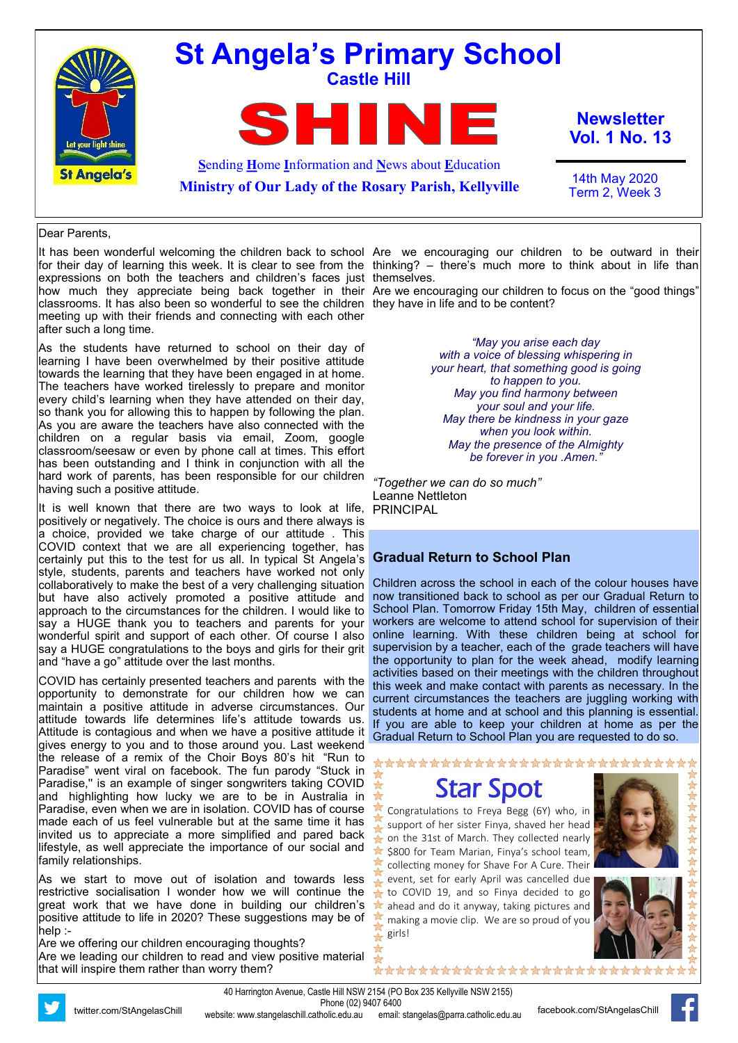

#### Dear Parents,

for their day of learning this week. It is clear to see from the thinking? – there's much more to think about in life than expressions on both the teachers and children's faces just themselves. how much they appreciate being back together in their Are we encouraging our children to focus on the "good things" classrooms. It has also been so wonderful to see the children they have in life and to be content? meeting up with their friends and connecting with each other after such a long time.

As the students have returned to school on their day of learning I have been overwhelmed by their positive attitude towards the learning that they have been engaged in at home. The teachers have worked tirelessly to prepare and monitor every child's learning when they have attended on their day, so thank you for allowing this to happen by following the plan. As you are aware the teachers have also connected with the children on a regular basis via email, Zoom, google classroom/seesaw or even by phone call at times. This effort has been outstanding and I think in conjunction with all the hard work of parents, has been responsible for our children *"Together we can do so much"* having such a positive attitude.

It is well known that there are two ways to look at life, positively or negatively. The choice is ours and there always is a choice, provided we take charge of our attitude . This COVID context that we are all experiencing together, has certainly put this to the test for us all. In typical St Angela's style, students, parents and teachers have worked not only collaboratively to make the best of a very challenging situation but have also actively promoted a positive attitude and approach to the circumstances for the children. I would like to say a HUGE thank you to teachers and parents for your wonderful spirit and support of each other. Of course I also say a HUGE congratulations to the boys and girls for their grit and "have a go" attitude over the last months.

COVID has certainly presented teachers and parents with the opportunity to demonstrate for our children how we can maintain a positive attitude in adverse circumstances. Our attitude towards life determines life's attitude towards us. Attitude is contagious and when we have a positive attitude it gives energy to you and to those around you. Last weekend the release of a remix of the Choir Boys 80's hit "Run to Paradise" went viral on facebook. The fun parody "Stuck in Paradise," is an example of singer songwriters taking COVID and highlighting how lucky we are to be in Australia in Paradise, even when we are in isolation. COVID has of course made each of us feel vulnerable but at the same time it has invited us to appreciate a more simplified and pared back lifestyle, as well appreciate the importance of our social and family relationships.

As we start to move out of isolation and towards less restrictive socialisation I wonder how we will continue the great work that we have done in building our children's positive attitude to life in 2020? These suggestions may be of help :-

Are we offering our children encouraging thoughts? Are we leading our children to read and view positive material that will inspire them rather than worry them?

It has been wonderful welcoming the children back to school Are we encouraging our children to be outward in their

*"May you arise each day with a voice of blessing whispering in your heart, that something good is going to happen to you. May you find harmony between your soul and your life. May there be kindness in your gaze when you look within. May the presence of the Almighty be forever in you .Amen."*

Leanne Nettleton PRINCIPAL

#### **Gradual Return to School Plan**

Children across the school in each of the colour houses have now transitioned back to school as per our Gradual Return to School Plan. Tomorrow Friday 15th May, children of essential workers are welcome to attend school for supervision of their online learning. With these children being at school for supervision by a teacher, each of the grade teachers will have the opportunity to plan for the week ahead, modify learning activities based on their meetings with the children throughout this week and make contact with parents as necessary. In the current circumstances the teachers are juggling working with students at home and at school and this planning is essential. If you are able to keep your children at home as per the Gradual Return to School Plan you are requested to do so.

\*\*\*\*\*\*\*\*\*\*\*\*\*\*\*\*\*\*\*\*\*\*\*\*\*\*\*\*

\*\*\*\*\*\*\*\*\*\*\*\*\*\*\*\*\*\*\*\*\*\*\*\*\*\*

Star Spot

Congratulations to Freya Begg (6Y) who, in support of her sister Finya, shaved her head on the 31st of March. They collected nearly \$800 for Team Marian, Finya's school team, collecting money for Shave For A Cure. Their event, set for early April was cancelled due to COVID 19, and so Finya decided to go ahead and do it anyway, taking pictures and making a movie clip. We are so proud of you girls!